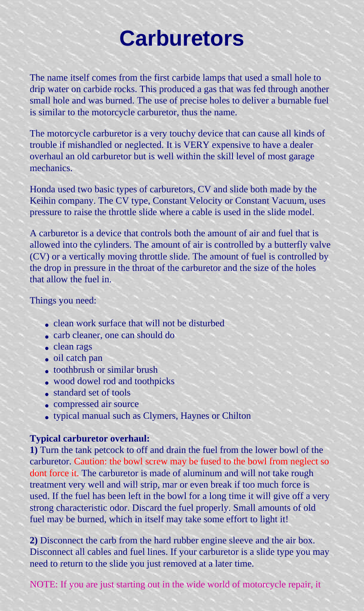# **Carburetors**

The name itself comes from the first carbide lamps that used a small hole to drip water on carbide rocks. This produced a gas that was fed through another small hole and was burned. The use of precise holes to deliver a burnable fuel is similar to the motorcycle carburetor, thus the name.

The motorcycle carburetor is a very touchy device that can cause all kinds of trouble if mishandled or neglected. It is VERY expensive to have a dealer overhaul an old carburetor but is well within the skill level of most garage mechanics.

Honda used two basic types of carburetors, CV and slide both made by the Keihin company. The CV type, Constant Velocity or Constant Vacuum, uses pressure to raise the throttle slide where a cable is used in the slide model.

A carburetor is a device that controls both the amount of air and fuel that is allowed into the cylinders. The amount of air is controlled by a butterfly valve (CV) or a vertically moving throttle slide. The amount of fuel is controlled by the drop in pressure in the throat of the carburetor and the size of the holes that allow the fuel in.

### Things you need:

- clean work surface that will not be disturbed
- carb cleaner, one can should do
- clean rags
- oil catch pan
- toothbrush or similar brush
- wood dowel rod and toothpicks
- standard set of tools
- compressed air source
- typical manual such as Clymers, Haynes or Chilton

#### **Typical carburetor overhaul:**

**1)** Turn the tank petcock to off and drain the fuel from the lower bowl of the carburetor. Caution: the bowl screw may be fused to the bowl from neglect so dont force it. The carburetor is made of aluminum and will not take rough treatment very well and will strip, mar or even break if too much force is used. If the fuel has been left in the bowl for a long time it will give off a very strong characteristic odor. Discard the fuel properly. Small amounts of old fuel may be burned, which in itself may take some effort to light it!

**2)** Disconnect the carb from the hard rubber engine sleeve and the air box. Disconnect all cables and fuel lines. If your carburetor is a slide type you may need to return to the slide you just removed at a later time.

NOTE: If you are just starting out in the wide world of motorcycle repair, it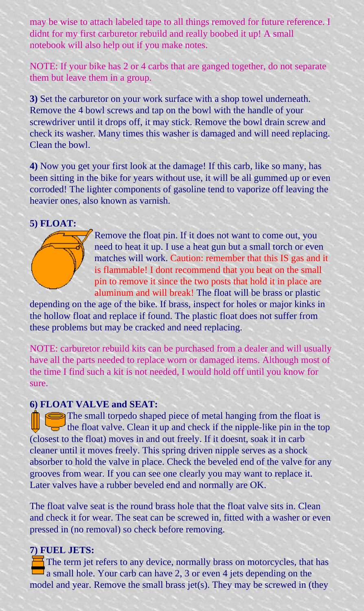may be wise to attach labeled tape to all things removed for future reference. I didnt for my first carburetor rebuild and really boobed it up! A small notebook will also help out if you make notes.

NOTE: If your bike has 2 or 4 carbs that are ganged together, do not separate them but leave them in a group.

**3)** Set the carburetor on your work surface with a shop towel underneath. Remove the 4 bowl screws and tap on the bowl with the handle of your screwdriver until it drops off, it may stick. Remove the bowl drain screw and check its washer. Many times this washer is damaged and will need replacing. Clean the bowl.

**4)** Now you get your first look at the damage! If this carb, like so many, has been sitting in the bike for years without use, it will be all gummed up or even corroded! The lighter components of gasoline tend to vaporize off leaving the heavier ones, also known as varnish.

#### **5) FLOAT:**



Remove the float pin. If it does not want to come out, you need to heat it up. I use a heat gun but a small torch or even matches will work. Caution: remember that this IS gas and it is flammable! I dont recommend that you beat on the small pin to remove it since the two posts that hold it in place are aluminum and will break! The float will be brass or plastic

depending on the age of the bike. If brass, inspect for holes or major kinks in the hollow float and replace if found. The plastic float does not suffer from these problems but may be cracked and need replacing.

NOTE: carburetor rebuild kits can be purchased from a dealer and will usually have all the parts needed to replace worn or damaged items. Although most of the time I find such a kit is not needed, I would hold off until you know for sure.

#### **6) FLOAT VALVE and SEAT:**

The small torpedo shaped piece of metal hanging from the float is the float valve. Clean it up and check if the nipple-like pin in the top (closest to the float) moves in and out freely. If it doesnt, soak it in carb cleaner until it moves freely. This spring driven nipple serves as a shock absorber to hold the valve in place. Check the beveled end of the valve for any grooves from wear. If you can see one clearly you may want to replace it. Later valves have a rubber beveled end and normally are OK.

The float valve seat is the round brass hole that the float valve sits in. Clean and check it for wear. The seat can be screwed in, fitted with a washer or even pressed in (no removal) so check before removing.

# **7) FUEL JETS:**

The term jet refers to any device, normally brass on motorcycles, that has a small hole. Your carb can have 2, 3 or even 4 jets depending on the model and year. Remove the small brass jet(s). They may be screwed in (they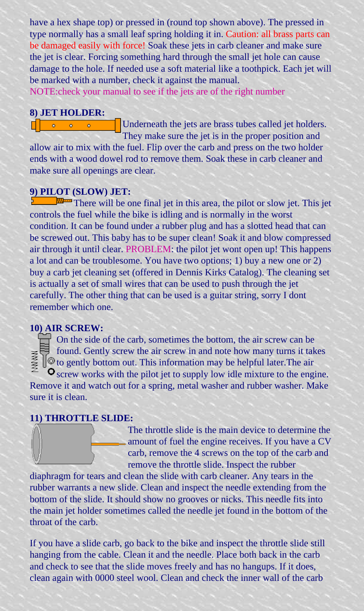have a hex shape top) or pressed in (round top shown above). The pressed in type normally has a small leaf spring holding it in. Caution: all brass parts can be damaged easily with force! Soak these jets in carb cleaner and make sure the jet is clear. Forcing something hard through the small jet hole can cause damage to the hole. If needed use a soft material like a toothpick. Each jet will be marked with a number, check it against the manual.

NOTE:check your manual to see if the jets are of the right number

#### **8) JET HOLDER:**

ö

ö

ö

Underneath the jets are brass tubes called jet holders. They make sure the jet is in the proper position and

allow air to mix with the fuel. Flip over the carb and press on the two holder ends with a wood dowel rod to remove them. Soak these in carb cleaner and make sure all openings are clear.

#### **9) PILOT (SLOW) JET:**

There will be one final jet in this area, the pilot or slow jet. This jet controls the fuel while the bike is idling and is normally in the worst condition. It can be found under a rubber plug and has a slotted head that can be screwed out. This baby has to be super clean! Soak it and blow compressed air through it until clear. PROBLEM: the pilot jet wont open up! This happens a lot and can be troublesome. You have two options; 1) buy a new one or 2) buy a carb jet cleaning set (offered in Dennis Kirks Catalog). The cleaning set is actually a set of small wires that can be used to push through the jet carefully. The other thing that can be used is a guitar string, sorry I dont remember which one.

## **10) AIR SCREW:**

On the side of the carb, sometimes the bottom, the air screw can be found. Gently screw the air screw in and note how many turns it takes  $\phi$  to gently bottom out. This information may be helpful later. The air  $\bullet$  screw works with the pilot jet to supply low idle mixture to the engine. Remove it and watch out for a spring, metal washer and rubber washer. Make sure it is clean.

#### **11) THROTTLE SLIDE:**

The throttle slide is the main device to determine the amount of fuel the engine receives. If you have a CV carb, remove the 4 screws on the top of the carb and remove the throttle slide. Inspect the rubber

diaphragm for tears and clean the slide with carb cleaner. Any tears in the rubber warrants a new slide. Clean and inspect the needle extending from the bottom of the slide. It should show no grooves or nicks. This needle fits into the main jet holder sometimes called the needle jet found in the bottom of the throat of the carb.

If you have a slide carb, go back to the bike and inspect the throttle slide still hanging from the cable. Clean it and the needle. Place both back in the carb and check to see that the slide moves freely and has no hangups. If it does, clean again with 0000 steel wool. Clean and check the inner wall of the carb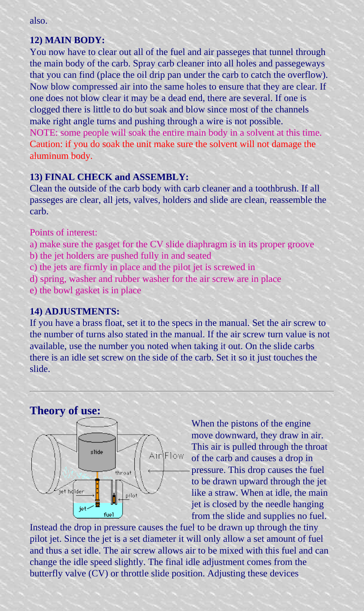#### **12) MAIN BODY:**

You now have to clear out all of the fuel and air passeges that tunnel through the main body of the carb. Spray carb cleaner into all holes and passegeways that you can find (place the oil drip pan under the carb to catch the overflow). Now blow compressed air into the same holes to ensure that they are clear. If one does not blow clear it may be a dead end, there are several. If one is clogged there is little to do but soak and blow since most of the channels make right angle turns and pushing through a wire is not possible. NOTE: some people will soak the entire main body in a solvent at this time. Caution: if you do soak the unit make sure the solvent will not damage the aluminum body.

#### **13) FINAL CHECK and ASSEMBLY:**

Clean the outside of the carb body with carb cleaner and a toothbrush. If all passeges are clear, all jets, valves, holders and slide are clean, reassemble the carb.

#### Points of interest:

- a) make sure the gasget for the CV slide diaphragm is in its proper groove
- b) the jet holders are pushed fully in and seated
- c) the jets are firmly in place and the pilot jet is screwed in
- d) spring, washer and rubber washer for the air screw are in place
- e) the bowl gasket is in place

#### **14) ADJUSTMENTS:**

If you have a brass float, set it to the specs in the manual. Set the air screw to the number of turns also stated in the manual. If the air screw turn value is not available, use the number you noted when taking it out. On the slide carbs there is an idle set screw on the side of the carb. Set it so it just touches the slide.

## **Theory of use:**



When the pistons of the engine move downward, they draw in air. This air is pulled through the throat of the carb and causes a drop in pressure. This drop causes the fuel to be drawn upward through the jet like a straw. When at idle, the main jet is closed by the needle hanging from the slide and supplies no fuel.

Instead the drop in pressure causes the fuel to be drawn up through the tiny pilot jet. Since the jet is a set diameter it will only allow a set amount of fuel and thus a set idle. The air screw allows air to be mixed with this fuel and can change the idle speed slightly. The final idle adjustment comes from the butterfly valve (CV) or throttle slide position. Adjusting these devices

also.